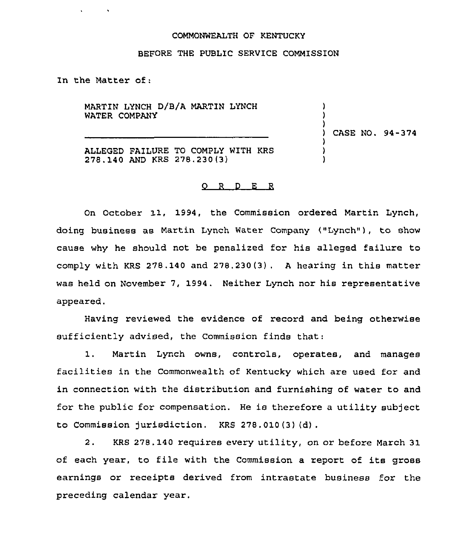## COMMONWEALTH OF KENTUCKY

## BEFORE THE PUBLIC SERVICE COMMISSION

In the Matter of:

 $\mathbf{v} = \mathbf{v} \times \mathbf{v}$  .

MARTIN LYNCH D/B/A MARTIN LYNCH WATER COMPANY

) ) CASE NO. 94-374

) )

> ) ) )

ALLEGED FAILURE TO COMPLY WITH KRS 278.140 AND KRS 278.230(3)

## 0 <sup>R</sup> <sup>D</sup> E <sup>R</sup>

On October 11, 1994, the Commission ordered Martin Lynch, doing business as Martin Lynch Water Company ("Lynch" ), to show cause why he should not be penalized for his alleged failure to comply with KRS 278.140 and 278.230(3) . <sup>A</sup> hearing in this matter was held on November 7, 1994. Neither Lynch nor his representative appeared.

Having reviewed the evidence of record and being otherwise sufficiently advised, the Commission finds that:

1. Martin Lynch owns, controls, operates, and manages facilities in the Commonwealth of Kentucky which are used for and in connection with the distribution and furnishing of water to and for the public for compensation. He is therefore a utility subject to Commission jurisdiction. KRS 278.010(3) (d) .

2. KRS 278.140 requires every utility, on or before March 31 of each year, to file with the Commission a report of its gross earnings or receipts derived from intrastate business for the preceding calendar year.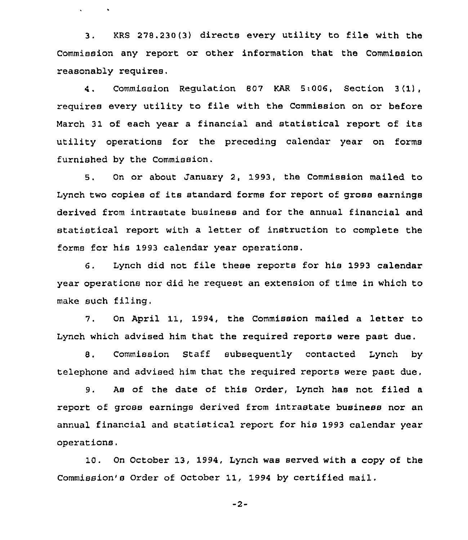<sup>3</sup> . KRS 278.230(3) directs every utility to file with the Commission any report or other information that the Commission reasonably requires.

 $\mathbf{v} = \mathbf{v} \times \mathbf{v}$  . We set

4. Commission Regulation 807 KAR 5:006, Section <sup>3</sup> (1), requires every utility to file with the Commission on or before March 31 of each year <sup>a</sup> financial and statistical report of its utility operations for the preceding calendar year on forms furnished by the Commission.

8. On or about January 2, 1993, the Commission mailed to Lynch two copies of its standard forms for report of gross earnings derived fxom intxastate business and for the annual financial and statistical report with a letter of instruction to complete the forms for his 1993 calendar year operations.

6. Lynch did not file these reports for his 1993 calendar year operations nor did he request an extension of time in which to make such filing.

7, On April 11, 1994, the Commission mailed a letter to Lynch which advised him that the required reports were past due.

8. Commission Staff subsequently contacted Lynch by telephone and advised him that the required reports were past due.

9. As of the date of this Order, Lynch has not filed a report of gross earnings derived from intrastate business nor an annual financial and statistical report for his 1993 calendar year operations,

10. On October 13, 1994, Lynch was served with a copy of the Commission's Order of October 11, 1994 by certified mail.

-2-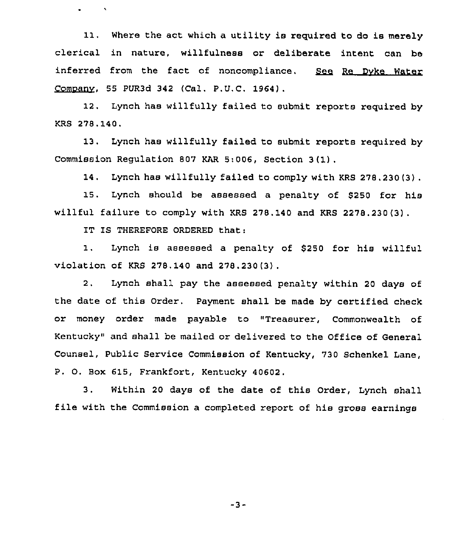Where the act which a utility is required to do is merely 11. clerical in nature, willfulness or deliberate intent can be inferred from the fact of noncompliance. See Re Dyke Water Comoanv, 55 PUR3d 342 (Cal. P.U.C. 1964).

12. Lynch has willfully failed to submit reports required by KRS 278.140.

13. Lynch has willfully failed to submit reports required by Commission Regulation 807 KAR 5:006, Section 3 (1) .

14. Lynch has willfully failed to comply with KRS 278,230(3) .

15. Lynch should be assessed a penalty of \$250 for his willful failure to comply with KRS 278.140 and KRS 2278.230(3).

IT IS THEREFORE ORDERED that:

1. Lynch is assessed a penalty of \$250 for his willful violation of KRS 278.140 and 278.230 (3) .

2. Lynch shall pay the assessed penalty within 20 days of the date of this Order. Payment shall be made by certified check or money order made payable to "Treasurer, Commonwealth of Kentucky" and shall be mailed or delivered to the Office of General Counsel, Public Service Commission of Kentucky, 730 Schenkel Lane, P. O. Box 615, Frankfort, Kentucky 40602.

3. Within <sup>20</sup> days of the date of this Order, Lynch shall file with the Commission a completed report of his gross earnings

-3-